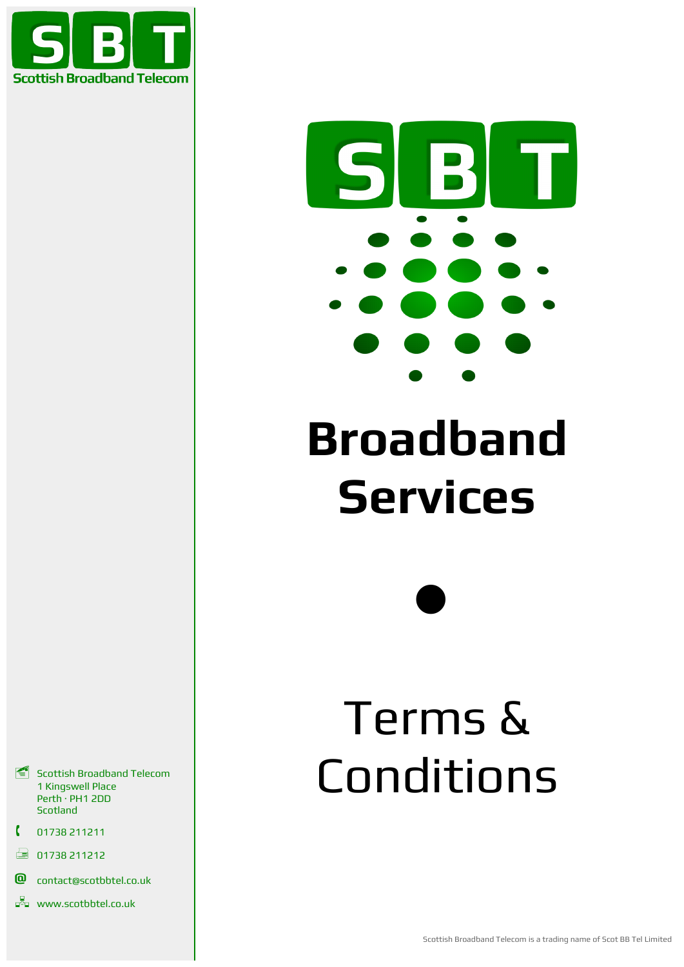



# **Broadband Services**



# Terms & Conditions

- Scottish Broadband Telecom 1 Kingswell Place Perth · PH1 2DD Scotland
- 01738 211211
- $\Box$  01738 211212
- **@** contact@scotbbtel.co.uk
- **DR** www.scotbbtel.co.uk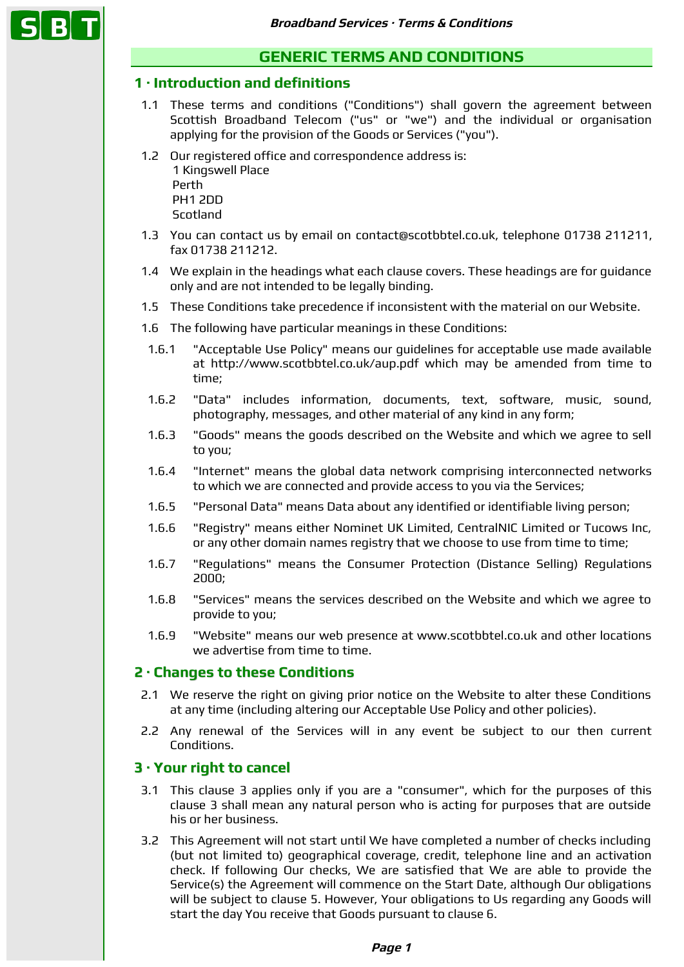# **GENERIC TERMS AND CONDITIONS**

## **1 · Introduction and definitions**

- 1.1 These terms and conditions ("Conditions") shall govern the agreement between Scottish Broadband Telecom ("us" or "we") and the individual or organisation applying for the provision of the Goods or Services ("you").
- 1.2 Our registered office and correspondence address is: 1 Kingswell Place Perth PH1 2DD **Scotland**
- 1.3 You can contact us by email on contact@scotbbtel.co.uk, telephone 01738 211211, fax 01738 211212.
- 1.4 We explain in the headings what each clause covers. These headings are for guidance only and are not intended to be legally binding.
- 1.5 These Conditions take precedence if inconsistent with the material on our Website.
- 1.6 The following have particular meanings in these Conditions:
	- 1.6.1 "Acceptable Use Policy" means our guidelines for acceptable use made available at http://www.scotbbtel.co.uk/aup.pdf which may be amended from time to time;
- 1.6.2 "Data" includes information, documents, text, software, music, sound, photography, messages, and other material of any kind in any form;
- 1.6.3 "Goods" means the goods described on the Website and which we agree to sell to you;
- 1.6.4 "Internet" means the global data network comprising interconnected networks to which we are connected and provide access to you via the Services;
- 1.6.5 "Personal Data" means Data about any identified or identifiable living person;
- 1.6.6 "Registry" means either Nominet UK Limited, CentralNIC Limited or Tucows Inc, or any other domain names registry that we choose to use from time to time;
- 1.6.7 "Regulations" means the Consumer Protection (Distance Selling) Regulations 2000;
- 1.6.8 "Services" means the services described on the Website and which we agree to provide to you;
- 1.6.9 "Website" means our web presence at www.scotbbtel.co.uk and other locations we advertise from time to time.

## **2 · Changes to these Conditions**

- 2.1 We reserve the right on giving prior notice on the Website to alter these Conditions at any time (including altering our Acceptable Use Policy and other policies).
- 2.2 Any renewal of the Services will in any event be subject to our then current Conditions.

## **3 · Your right to cancel**

- 3.1 This clause 3 applies only if you are a "consumer", which for the purposes of this clause 3 shall mean any natural person who is acting for purposes that are outside his or her business.
- 3.2 This Agreement will not start until We have completed a number of checks including (but not limited to) geographical coverage, credit, telephone line and an activation check. If following Our checks, We are satisfied that We are able to provide the Service(s) the Agreement will commence on the Start Date, although Our obligations will be subject to clause 5. However, Your obligations to Us regarding any Goods will start the day You receive that Goods pursuant to clause 6.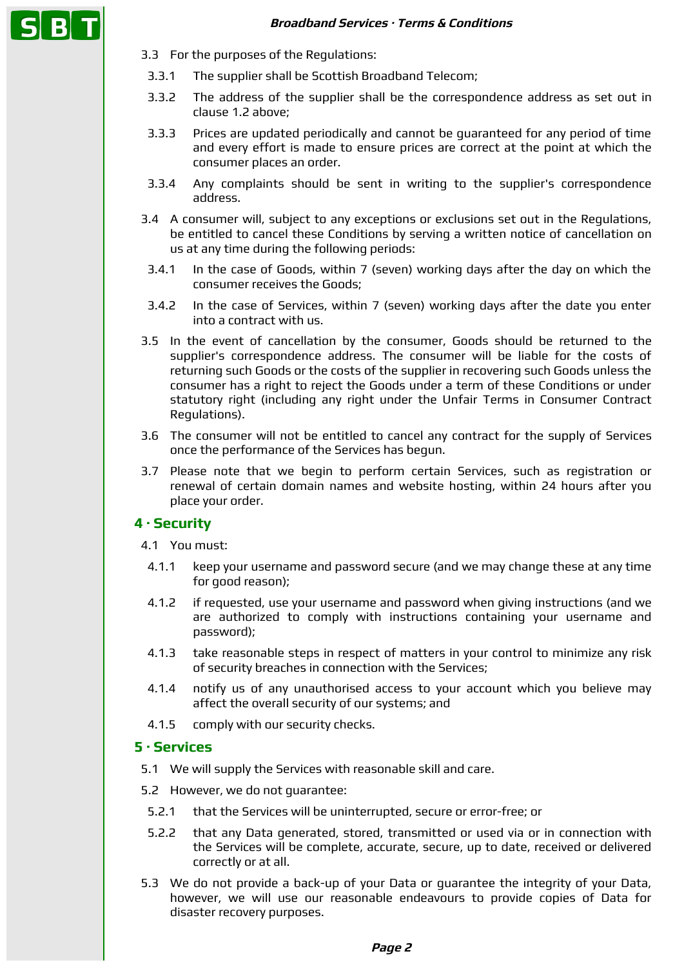- 3.3 For the purposes of the Regulations:
	- 3.3.1 The supplier shall be Scottish Broadband Telecom;
	- 3.3.2 The address of the supplier shall be the correspondence address as set out in clause 1.2 above;
	- 3.3.3 Prices are updated periodically and cannot be guaranteed for any period of time and every effort is made to ensure prices are correct at the point at which the consumer places an order.
	- 3.3.4 Any complaints should be sent in writing to the supplier's correspondence address.
- 3.4 A consumer will, subject to any exceptions or exclusions set out in the Regulations, be entitled to cancel these Conditions by serving a written notice of cancellation on us at any time during the following periods:
- 3.4.1 In the case of Goods, within 7 (seven) working days after the day on which the consumer receives the Goods;
- 3.4.2 In the case of Services, within 7 (seven) working days after the date you enter into a contract with us.
- 3.5 In the event of cancellation by the consumer, Goods should be returned to the supplier's correspondence address. The consumer will be liable for the costs of returning such Goods or the costs of the supplier in recovering such Goods unless the consumer has a right to reject the Goods under a term of these Conditions or under statutory right (including any right under the Unfair Terms in Consumer Contract Regulations).
- 3.6 The consumer will not be entitled to cancel any contract for the supply of Services once the performance of the Services has begun.
- 3.7 Please note that we begin to perform certain Services, such as registration or renewal of certain domain names and website hosting, within 24 hours after you place your order.

#### **4 · Security**

- 4.1 You must:
- 4.1.1 keep your username and password secure (and we may change these at any time for good reason);
- 4.1.2 if requested, use your username and password when giving instructions (and we are authorized to comply with instructions containing your username and password);
- 4.1.3 take reasonable steps in respect of matters in your control to minimize any risk of security breaches in connection with the Services;
- 4.1.4 notify us of any unauthorised access to your account which you believe may affect the overall security of our systems; and
- 4.1.5 comply with our security checks.

#### **5 · Services**

- 5.1 We will supply the Services with reasonable skill and care.
- 5.2 However, we do not guarantee:
- 5.2.1 that the Services will be uninterrupted, secure or error-free; or
- 5.2.2 that any Data generated, stored, transmitted or used via or in connection with the Services will be complete, accurate, secure, up to date, received or delivered correctly or at all.
- 5.3 We do not provide a back-up of your Data or guarantee the integrity of your Data, however, we will use our reasonable endeavours to provide copies of Data for disaster recovery purposes.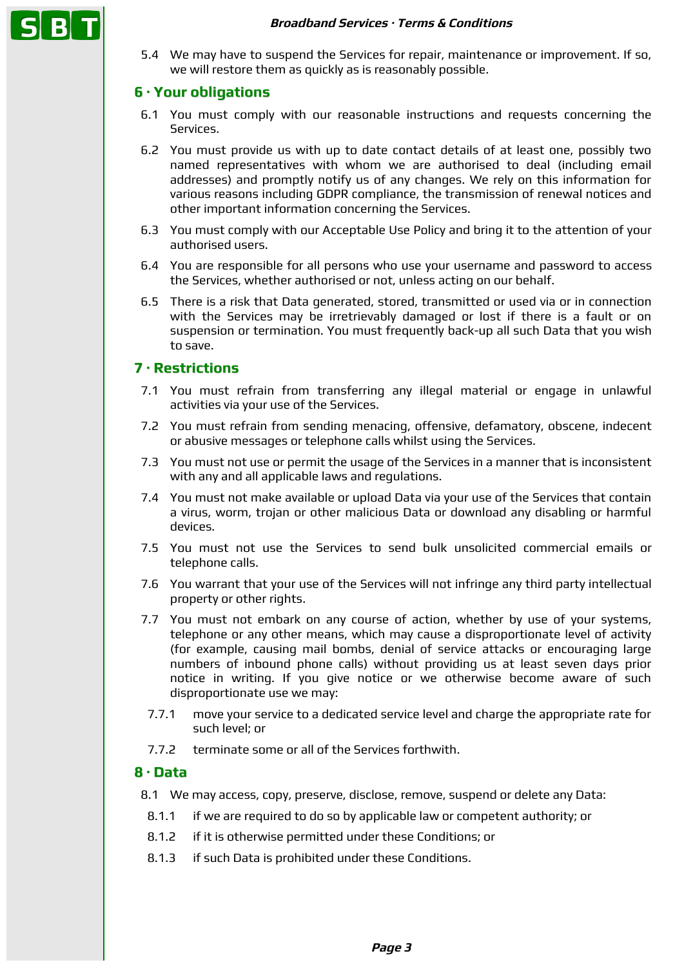

5.4 We may have to suspend the Services for repair, maintenance or improvement. If so, we will restore them as quickly as is reasonably possible.

### **6 · Your obligations**

- 6.1 You must comply with our reasonable instructions and requests concerning the Services.
- 6.2 You must provide us with up to date contact details of at least one, possibly two named representatives with whom we are authorised to deal (including email addresses) and promptly notify us of any changes. We rely on this information for various reasons including GDPR compliance, the transmission of renewal notices and other important information concerning the Services.
- 6.3 You must comply with our Acceptable Use Policy and bring it to the attention of your authorised users.
- 6.4 You are responsible for all persons who use your username and password to access the Services, whether authorised or not, unless acting on our behalf.
- 6.5 There is a risk that Data generated, stored, transmitted or used via or in connection with the Services may be irretrievably damaged or lost if there is a fault or on suspension or termination. You must frequently back-up all such Data that you wish to save.

### **7 · Restrictions**

- 7.1 You must refrain from transferring any illegal material or engage in unlawful activities via your use of the Services.
- 7.2 You must refrain from sending menacing, offensive, defamatory, obscene, indecent or abusive messages or telephone calls whilst using the Services.
- 7.3 You must not use or permit the usage of the Services in a manner that is inconsistent with any and all applicable laws and regulations.
- 7.4 You must not make available or upload Data via your use of the Services that contain a virus, worm, trojan or other malicious Data or download any disabling or harmful devices.
- 7.5 You must not use the Services to send bulk unsolicited commercial emails or telephone calls.
- 7.6 You warrant that your use of the Services will not infringe any third party intellectual property or other rights.
- 7.7 You must not embark on any course of action, whether by use of your systems, telephone or any other means, which may cause a disproportionate level of activity (for example, causing mail bombs, denial of service attacks or encouraging large numbers of inbound phone calls) without providing us at least seven days prior notice in writing. If you give notice or we otherwise become aware of such disproportionate use we may:
- 7.7.1 move your service to a dedicated service level and charge the appropriate rate for such level; or
- 7.7.2 terminate some or all of the Services forthwith.

#### **8 · Data**

- 8.1 We may access, copy, preserve, disclose, remove, suspend or delete any Data:
	- 8.1.1 if we are required to do so by applicable law or competent authority; or
	- 8.1.2 if it is otherwise permitted under these Conditions; or
	- 8.1.3 if such Data is prohibited under these Conditions.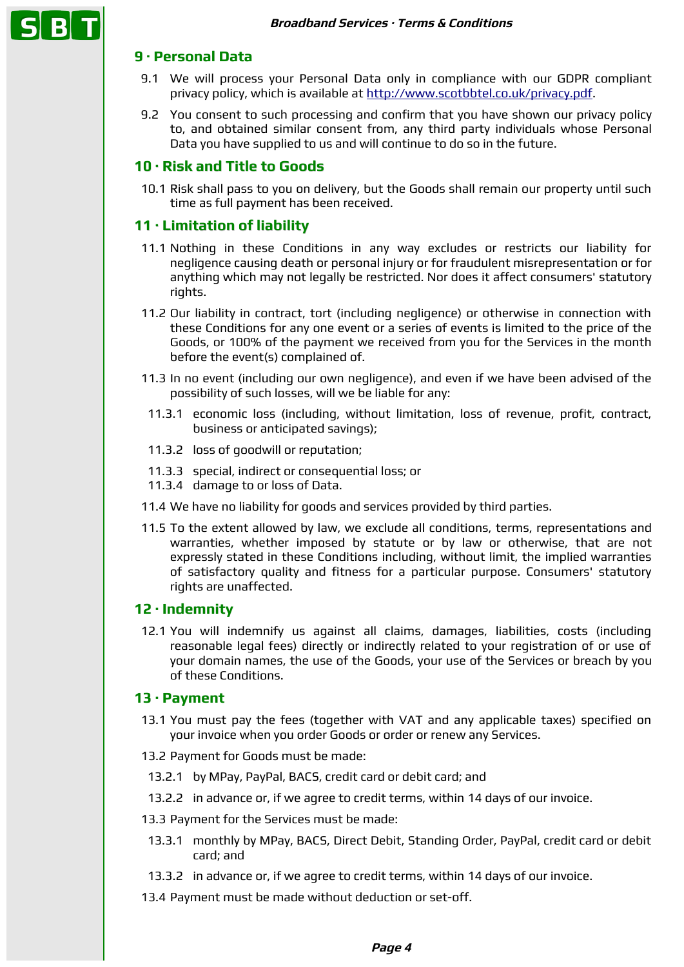#### **9 · Personal Data**

- 9.1 We will process your Personal Data only in compliance with our GDPR compliant privacy policy, which is available at [http://www.scotbbtel.co.uk/privacy.pdf.](http://www.scotbbtel.co.uk/privacy.pdf)
- 9.2 You consent to such processing and confirm that you have shown our privacy policy to, and obtained similar consent from, any third party individuals whose Personal Data you have supplied to us and will continue to do so in the future.

# **10 · Risk and Title to Goods**

10.1 Risk shall pass to you on delivery, but the Goods shall remain our property until such time as full payment has been received.

## **11 · Limitation of liability**

- 11.1 Nothing in these Conditions in any way excludes or restricts our liability for negligence causing death or personal injury or for fraudulent misrepresentation or for anything which may not legally be restricted. Nor does it affect consumers' statutory rights.
- 11.2 Our liability in contract, tort (including negligence) or otherwise in connection with these Conditions for any one event or a series of events is limited to the price of the Goods, or 100% of the payment we received from you for the Services in the month before the event(s) complained of.
- 11.3 In no event (including our own negligence), and even if we have been advised of the possibility of such losses, will we be liable for any:
- 11.3.1 economic loss (including, without limitation, loss of revenue, profit, contract, business or anticipated savings);
- 11.3.2 loss of goodwill or reputation;
- 11.3.3 special, indirect or consequential loss; or
- 11.3.4 damage to or loss of Data.
- 11.4 We have no liability for goods and services provided by third parties.
- 11.5 To the extent allowed by law, we exclude all conditions, terms, representations and warranties, whether imposed by statute or by law or otherwise, that are not expressly stated in these Conditions including, without limit, the implied warranties of satisfactory quality and fitness for a particular purpose. Consumers' statutory rights are unaffected.

## **12 · Indemnity**

12.1 You will indemnify us against all claims, damages, liabilities, costs (including reasonable legal fees) directly or indirectly related to your registration of or use of your domain names, the use of the Goods, your use of the Services or breach by you of these Conditions.

#### **13 · Payment**

- 13.1 You must pay the fees (together with VAT and any applicable taxes) specified on your invoice when you order Goods or order or renew any Services.
- 13.2 Payment for Goods must be made:
- 13.2.1 by MPay, PayPal, BACS, credit card or debit card; and
- 13.2.2 in advance or, if we agree to credit terms, within 14 days of our invoice.
- 13.3 Payment for the Services must be made:
- 13.3.1 monthly by MPay, BACS, Direct Debit, Standing Order, PayPal, credit card or debit card; and
- 13.3.2 in advance or, if we agree to credit terms, within 14 days of our invoice.

13.4 Payment must be made without deduction or set-off.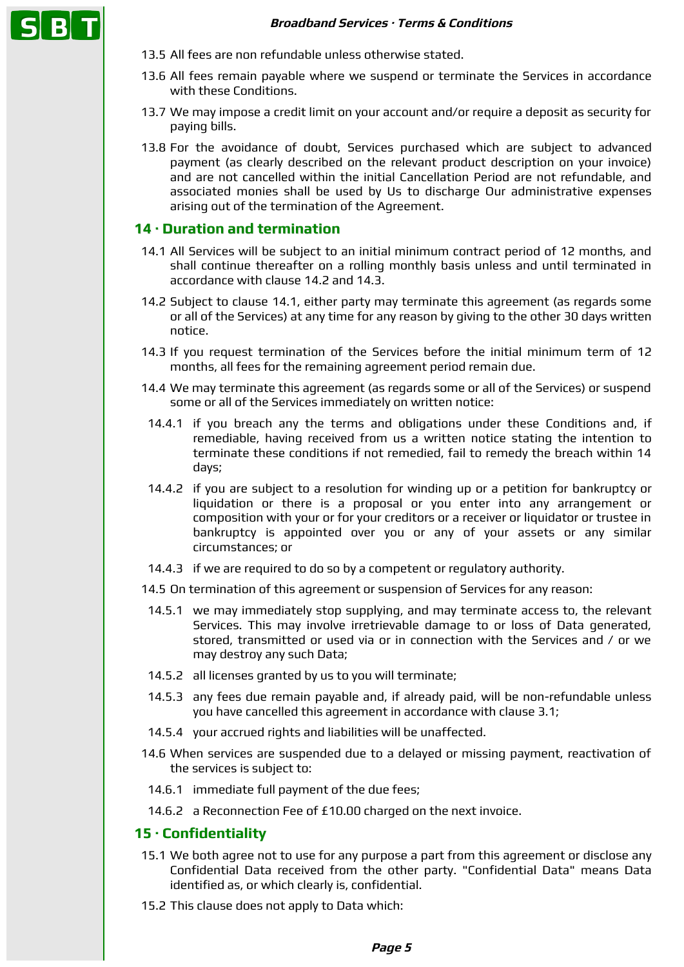- 13.5 All fees are non refundable unless otherwise stated.
- 13.6 All fees remain payable where we suspend or terminate the Services in accordance with these Conditions.
- 13.7 We may impose a credit limit on your account and/or require a deposit as security for paying bills.
- 13.8 For the avoidance of doubt, Services purchased which are subject to advanced payment (as clearly described on the relevant product description on your invoice) and are not cancelled within the initial Cancellation Period are not refundable, and associated monies shall be used by Us to discharge Our administrative expenses arising out of the termination of the Agreement.

### **14 · Duration and termination**

- 14.1 All Services will be subject to an initial minimum contract period of 12 months, and shall continue thereafter on a rolling monthly basis unless and until terminated in accordance with clause 14.2 and 14.3.
- 14.2 Subject to clause 14.1, either party may terminate this agreement (as regards some or all of the Services) at any time for any reason by giving to the other 30 days written notice.
- 14.3 If you request termination of the Services before the initial minimum term of 12 months, all fees for the remaining agreement period remain due.
- 14.4 We may terminate this agreement (as regards some or all of the Services) or suspend some or all of the Services immediately on written notice:
- 14.4.1 if you breach any the terms and obligations under these Conditions and, if remediable, having received from us a written notice stating the intention to terminate these conditions if not remedied, fail to remedy the breach within 14 days;
- 14.4.2 if you are subject to a resolution for winding up or a petition for bankruptcy or liquidation or there is a proposal or you enter into any arrangement or composition with your or for your creditors or a receiver or liquidator or trustee in bankruptcy is appointed over you or any of your assets or any similar circumstances; or
- 14.4.3 if we are required to do so by a competent or regulatory authority.
- 14.5 On termination of this agreement or suspension of Services for any reason:
	- 14.5.1 we may immediately stop supplying, and may terminate access to, the relevant Services. This may involve irretrievable damage to or loss of Data generated, stored, transmitted or used via or in connection with the Services and / or we may destroy any such Data;
	- 14.5.2 all licenses granted by us to you will terminate;
	- 14.5.3 any fees due remain payable and, if already paid, will be non-refundable unless you have cancelled this agreement in accordance with clause 3.1;
	- 14.5.4 your accrued rights and liabilities will be unaffected.
- 14.6 When services are suspended due to a delayed or missing payment, reactivation of the services is subject to:
	- 14.6.1 immediate full payment of the due fees;
	- 14.6.2 a Reconnection Fee of £10.00 charged on the next invoice.

#### **15 · Confidentiality**

- 15.1 We both agree not to use for any purpose a part from this agreement or disclose any Confidential Data received from the other party. "Confidential Data" means Data identified as, or which clearly is, confidential.
- 15.2 This clause does not apply to Data which: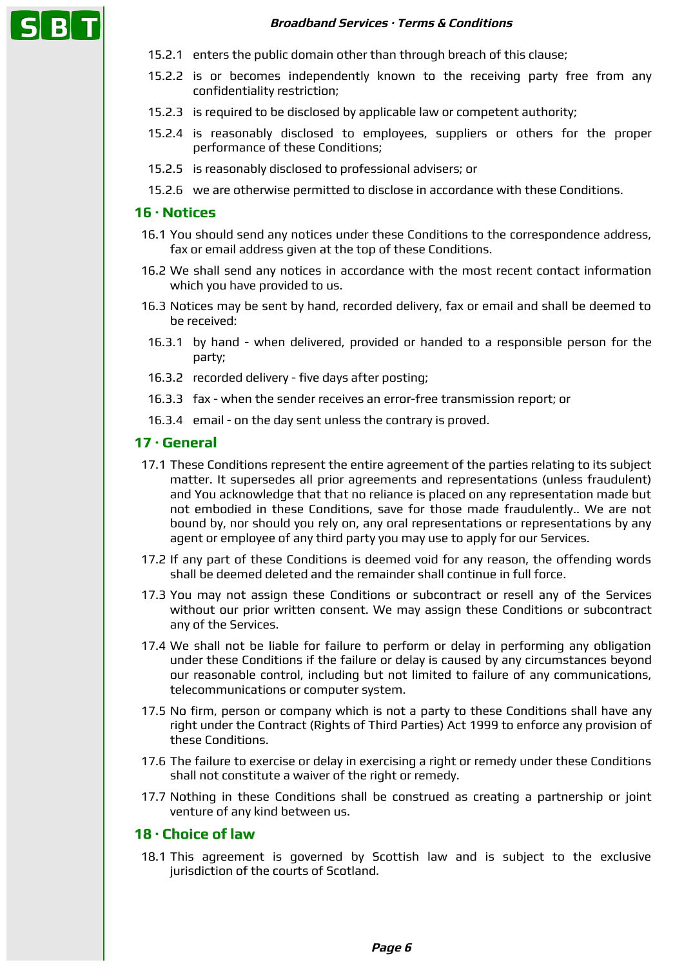- 15.2.1 enters the public domain other than through breach of this clause;
- 15.2.2 is or becomes independently known to the receiving party free from any confidentiality restriction;
- 15.2.3 is required to be disclosed by applicable law or competent authority;
- 15.2.4 is reasonably disclosed to employees, suppliers or others for the proper performance of these Conditions;
- 15.2.5 is reasonably disclosed to professional advisers; or
- 15.2.6 we are otherwise permitted to disclose in accordance with these Conditions.

#### **16 · Notices**

- 16.1 You should send any notices under these Conditions to the correspondence address, fax or email address given at the top of these Conditions.
- 16.2 We shall send any notices in accordance with the most recent contact information which you have provided to us.
- 16.3 Notices may be sent by hand, recorded delivery, fax or email and shall be deemed to be received:
- 16.3.1 by hand when delivered, provided or handed to a responsible person for the party;
- 16.3.2 recorded delivery five days after posting;
- 16.3.3 fax when the sender receives an error-free transmission report; or
- 16.3.4 email on the day sent unless the contrary is proved.

#### **17 · General**

- 17.1 These Conditions represent the entire agreement of the parties relating to its subject matter. It supersedes all prior agreements and representations (unless fraudulent) and You acknowledge that that no reliance is placed on any representation made but not embodied in these Conditions, save for those made fraudulently.. We are not bound by, nor should you rely on, any oral representations or representations by any agent or employee of any third party you may use to apply for our Services.
- 17.2 If any part of these Conditions is deemed void for any reason, the offending words shall be deemed deleted and the remainder shall continue in full force.
- 17.3 You may not assign these Conditions or subcontract or resell any of the Services without our prior written consent. We may assign these Conditions or subcontract any of the Services.
- 17.4 We shall not be liable for failure to perform or delay in performing any obligation under these Conditions if the failure or delay is caused by any circumstances beyond our reasonable control, including but not limited to failure of any communications, telecommunications or computer system.
- 17.5 No firm, person or company which is not a party to these Conditions shall have any right under the Contract (Rights of Third Parties) Act 1999 to enforce any provision of these Conditions.
- 17.6 The failure to exercise or delay in exercising a right or remedy under these Conditions shall not constitute a waiver of the right or remedy.
- 17.7 Nothing in these Conditions shall be construed as creating a partnership or joint venture of any kind between us.

### **18 · Choice of law**

18.1 This agreement is governed by Scottish law and is subject to the exclusive jurisdiction of the courts of Scotland.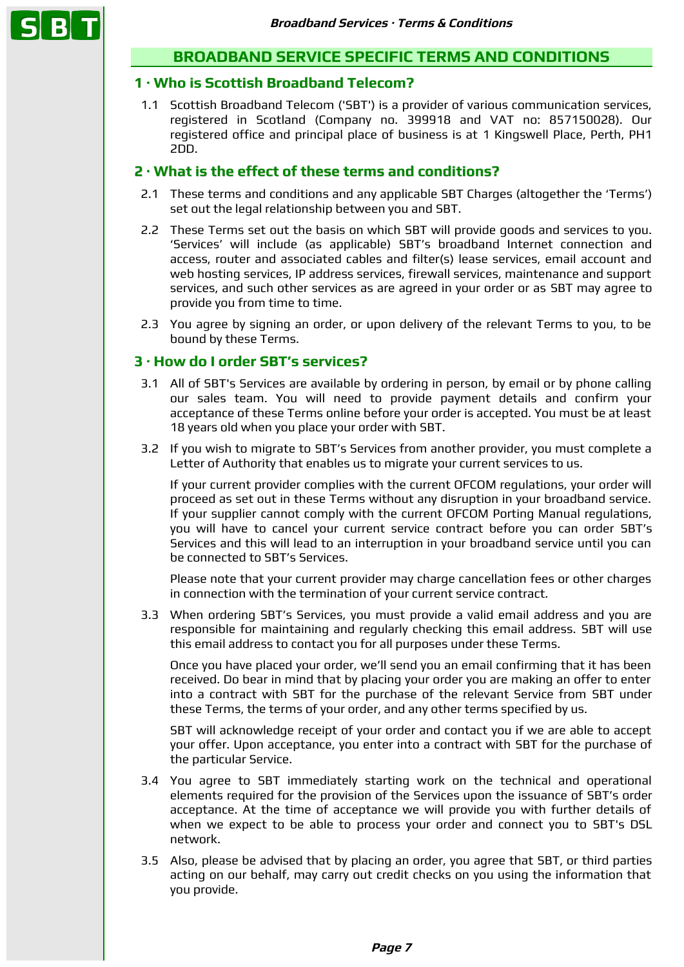

## **BROADBAND SERVICE SPECIFIC TERMS AND CONDITIONS**

## **1 · Who is Scottish Broadband Telecom?**

1.1 Scottish Broadband Telecom ('SBT') is a provider of various communication services, registered in Scotland (Company no. 399918 and VAT no: 857150028). Our registered office and principal place of business is at 1 Kingswell Place, Perth, PH1 2DD.

## **2 · What is the effect of these terms and conditions?**

- 2.1 These terms and conditions and any applicable SBT Charges (altogether the 'Terms') set out the legal relationship between you and SBT.
- 2.2 These Terms set out the basis on which SBT will provide goods and services to you. 'Services' will include (as applicable) SBT's broadband Internet connection and access, router and associated cables and filter(s) lease services, email account and web hosting services, IP address services, firewall services, maintenance and support services, and such other services as are agreed in your order or as SBT may agree to provide you from time to time.
- 2.3 You agree by signing an order, or upon delivery of the relevant Terms to you, to be bound by these Terms.

# **3 · How do I order SBT's services?**

- 3.1 All of SBT's Services are available by ordering in person, by email or by phone calling our sales team. You will need to provide payment details and confirm your acceptance of these Terms online before your order is accepted. You must be at least 18 years old when you place your order with SBT.
- 3.2 If you wish to migrate to SBT's Services from another provider, you must complete a Letter of Authority that enables us to migrate your current services to us.

If your current provider complies with the current OFCOM regulations, your order will proceed as set out in these Terms without any disruption in your broadband service. If your supplier cannot comply with the current OFCOM Porting Manual regulations, you will have to cancel your current service contract before you can order SBT's Services and this will lead to an interruption in your broadband service until you can be connected to SBT's Services.

Please note that your current provider may charge cancellation fees or other charges in connection with the termination of your current service contract.

3.3 When ordering SBT's Services, you must provide a valid email address and you are responsible for maintaining and regularly checking this email address. SBT will use this email address to contact you for all purposes under these Terms.

Once you have placed your order, we'll send you an email confirming that it has been received. Do bear in mind that by placing your order you are making an offer to enter into a contract with SBT for the purchase of the relevant Service from SBT under these Terms, the terms of your order, and any other terms specified by us.

SBT will acknowledge receipt of your order and contact you if we are able to accept your offer. Upon acceptance, you enter into a contract with SBT for the purchase of the particular Service.

- 3.4 You agree to SBT immediately starting work on the technical and operational elements required for the provision of the Services upon the issuance of SBT's order acceptance. At the time of acceptance we will provide you with further details of when we expect to be able to process your order and connect you to SBT's DSL network.
- 3.5 Also, please be advised that by placing an order, you agree that SBT, or third parties acting on our behalf, may carry out credit checks on you using the information that you provide.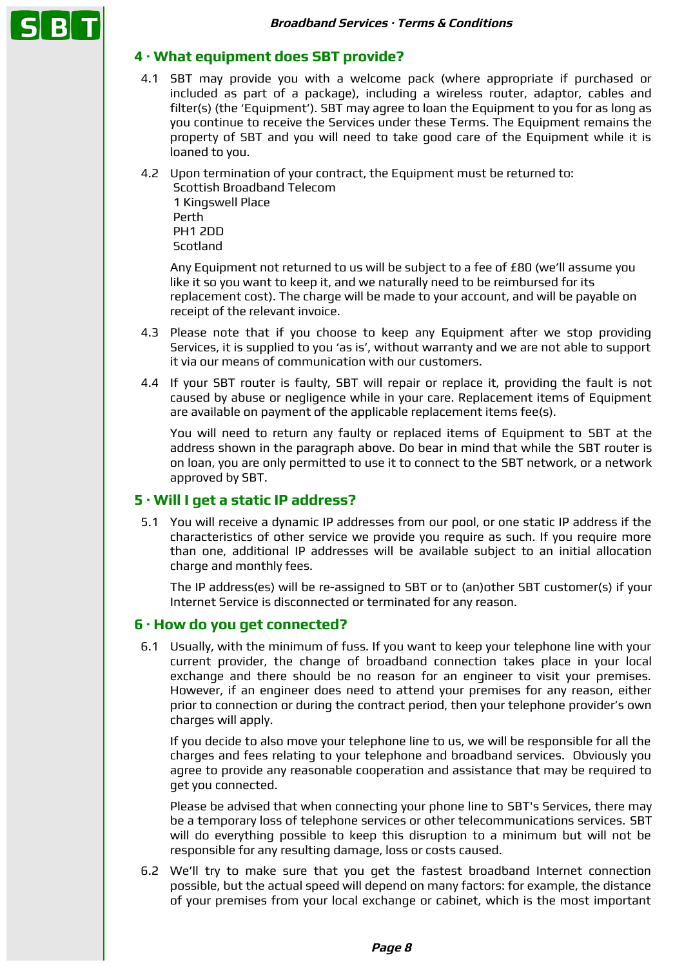

# **4 · What equipment does SBT provide?**

- 4.1 SBT may provide you with a welcome pack (where appropriate if purchased or included as part of a package), including a wireless router, adaptor, cables and filter(s) (the 'Equipment'). SBT may agree to loan the Equipment to you for as long as you continue to receive the Services under these Terms. The Equipment remains the property of SBT and you will need to take good care of the Equipment while it is loaned to you.
- 4.2 Upon termination of your contract, the Equipment must be returned to: Scottish Broadband Telecom

1 Kingswell Place Perth PH1 2DD Scotland

Any Equipment not returned to us will be subject to a fee of £80 (we'll assume you like it so you want to keep it, and we naturally need to be reimbursed for its replacement cost). The charge will be made to your account, and will be payable on receipt of the relevant invoice.

- 4.3 Please note that if you choose to keep any Equipment after we stop providing Services, it is supplied to you 'as is', without warranty and we are not able to support it via our means of communication with our customers.
- 4.4 If your SBT router is faulty, SBT will repair or replace it, providing the fault is not caused by abuse or negligence while in your care. Replacement items of Equipment are available on payment of the applicable replacement items fee(s).

You will need to return any faulty or replaced items of Equipment to SBT at the address shown in the paragraph above. Do bear in mind that while the SBT router is on loan, you are only permitted to use it to connect to the SBT network, or a network approved by SBT.

## **5 · Will I get a static IP address?**

5.1 You will receive a dynamic IP addresses from our pool, or one static IP address if the characteristics of other service we provide you require as such. If you require more than one, additional IP addresses will be available subject to an initial allocation charge and monthly fees.

The IP address(es) will be re-assigned to SBT or to (an)other SBT customer(s) if your Internet Service is disconnected or terminated for any reason.

## **6 · How do you get connected?**

6.1 Usually, with the minimum of fuss. If you want to keep your telephone line with your current provider, the change of broadband connection takes place in your local exchange and there should be no reason for an engineer to visit your premises. However, if an engineer does need to attend your premises for any reason, either prior to connection or during the contract period, then your telephone provider's own charges will apply.

If you decide to also move your telephone line to us, we will be responsible for all the charges and fees relating to your telephone and broadband services. Obviously you agree to provide any reasonable cooperation and assistance that may be required to get you connected.

Please be advised that when connecting your phone line to SBT's Services, there may be a temporary loss of telephone services or other telecommunications services. SBT will do everything possible to keep this disruption to a minimum but will not be responsible for any resulting damage, loss or costs caused.

6.2 We'll try to make sure that you get the fastest broadband Internet connection possible, but the actual speed will depend on many factors: for example, the distance of your premises from your local exchange or cabinet, which is the most important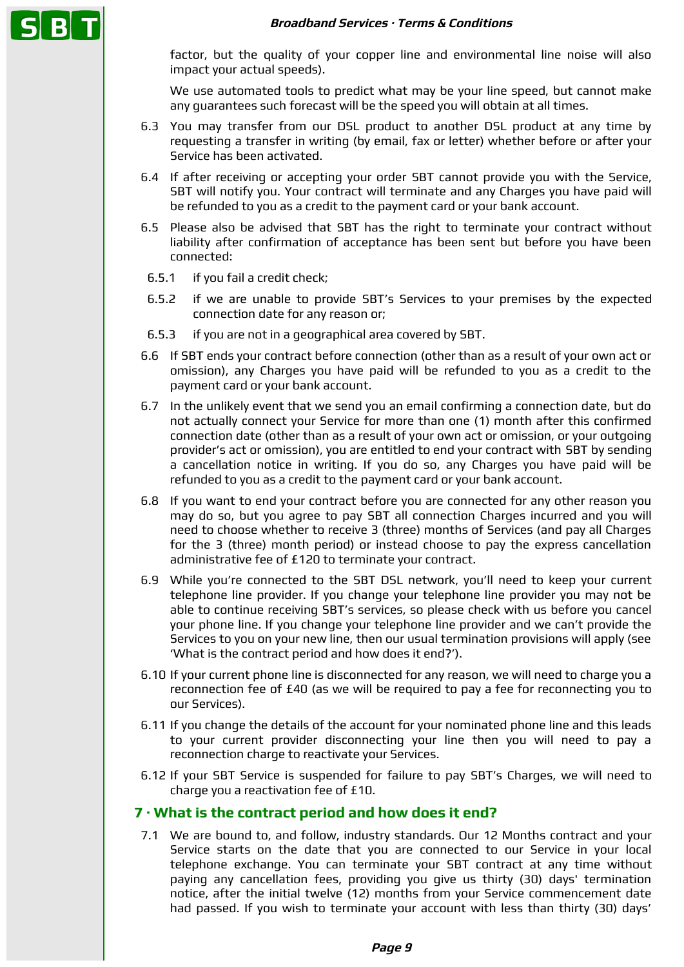factor, but the quality of your copper line and environmental line noise will also impact your actual speeds).

We use automated tools to predict what may be your line speed, but cannot make any guarantees such forecast will be the speed you will obtain at all times.

- 6.3 You may transfer from our DSL product to another DSL product at any time by requesting a transfer in writing (by email, fax or letter) whether before or after your Service has been activated.
- 6.4 If after receiving or accepting your order SBT cannot provide you with the Service, SBT will notify you. Your contract will terminate and any Charges you have paid will be refunded to you as a credit to the payment card or your bank account.
- 6.5 Please also be advised that SBT has the right to terminate your contract without liability after confirmation of acceptance has been sent but before you have been connected:
	- 6.5.1 if you fail a credit check;
- 6.5.2 if we are unable to provide SBT's Services to your premises by the expected connection date for any reason or;
- 6.5.3 if you are not in a geographical area covered by SBT.
- 6.6 If SBT ends your contract before connection (other than as a result of your own act or omission), any Charges you have paid will be refunded to you as a credit to the payment card or your bank account.
- 6.7 In the unlikely event that we send you an email confirming a connection date, but do not actually connect your Service for more than one (1) month after this confirmed connection date (other than as a result of your own act or omission, or your outgoing provider's act or omission), you are entitled to end your contract with SBT by sending a cancellation notice in writing. If you do so, any Charges you have paid will be refunded to you as a credit to the payment card or your bank account.
- 6.8 If you want to end your contract before you are connected for any other reason you may do so, but you agree to pay SBT all connection Charges incurred and you will need to choose whether to receive 3 (three) months of Services (and pay all Charges for the 3 (three) month period) or instead choose to pay the express cancellation administrative fee of £120 to terminate your contract.
- 6.9 While you're connected to the SBT DSL network, you'll need to keep your current telephone line provider. If you change your telephone line provider you may not be able to continue receiving SBT's services, so please check with us before you cancel your phone line. If you change your telephone line provider and we can't provide the Services to you on your new line, then our usual termination provisions will apply (see 'What is the contract period and how does it end?').
- 6.10 If your current phone line is disconnected for any reason, we will need to charge you a reconnection fee of £40 (as we will be required to pay a fee for reconnecting you to our Services).
- 6.11 If you change the details of the account for your nominated phone line and this leads to your current provider disconnecting your line then you will need to pay a reconnection charge to reactivate your Services.
- 6.12 If your SBT Service is suspended for failure to pay SBT's Charges, we will need to charge you a reactivation fee of £10.

## **7 · What is the contract period and how does it end?**

7.1 We are bound to, and follow, industry standards. Our 12 Months contract and your Service starts on the date that you are connected to our Service in your local telephone exchange. You can terminate your SBT contract at any time without paying any cancellation fees, providing you give us thirty (30) days' termination notice, after the initial twelve (12) months from your Service commencement date had passed. If you wish to terminate your account with less than thirty (30) days'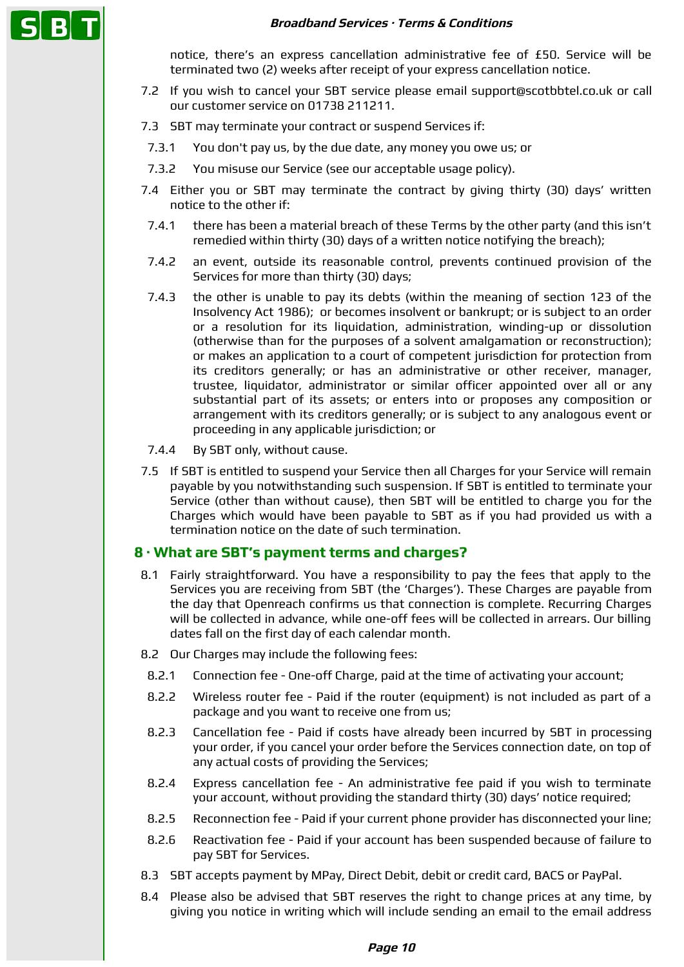notice, there's an express cancellation administrative fee of £50. Service will be terminated two (2) weeks after receipt of your express cancellation notice.

- 7.2 If you wish to cancel your SBT service please email support@scotbbtel.co.uk or call our customer service on 01738 211211.
- 7.3 SBT may terminate your contract or suspend Services if:
	- 7.3.1 You don't pay us, by the due date, any money you owe us; or
	- 7.3.2 You misuse our Service (see our acceptable usage policy).
- 7.4 Either you or SBT may terminate the contract by giving thirty (30) days' written notice to the other if:
- 7.4.1 there has been a material breach of these Terms by the other party (and this isn't remedied within thirty (30) days of a written notice notifying the breach);
- 7.4.2 an event, outside its reasonable control, prevents continued provision of the Services for more than thirty (30) days;
- 7.4.3 the other is unable to pay its debts (within the meaning of section 123 of the Insolvency Act 1986); or becomes insolvent or bankrupt; or is subject to an order or a resolution for its liquidation, administration, winding-up or dissolution (otherwise than for the purposes of a solvent amalgamation or reconstruction); or makes an application to a court of competent jurisdiction for protection from its creditors generally; or has an administrative or other receiver, manager, trustee, liquidator, administrator or similar officer appointed over all or any substantial part of its assets; or enters into or proposes any composition or arrangement with its creditors generally; or is subject to any analogous event or proceeding in any applicable jurisdiction; or
- 7.4.4 By SBT only, without cause.
- 7.5 If SBT is entitled to suspend your Service then all Charges for your Service will remain payable by you notwithstanding such suspension. If SBT is entitled to terminate your Service (other than without cause), then SBT will be entitled to charge you for the Charges which would have been payable to SBT as if you had provided us with a termination notice on the date of such termination.

#### **8 · What are SBT's payment terms and charges?**

- 8.1 Fairly straightforward. You have a responsibility to pay the fees that apply to the Services you are receiving from SBT (the 'Charges'). These Charges are payable from the day that Openreach confirms us that connection is complete. Recurring Charges will be collected in advance, while one-off fees will be collected in arrears. Our billing dates fall on the first day of each calendar month.
- 8.2 Our Charges may include the following fees:
- 8.2.1 Connection fee One-off Charge, paid at the time of activating your account;
- 8.2.2 Wireless router fee Paid if the router (equipment) is not included as part of a package and you want to receive one from us;
- 8.2.3 Cancellation fee Paid if costs have already been incurred by SBT in processing your order, if you cancel your order before the Services connection date, on top of any actual costs of providing the Services;
- 8.2.4 Express cancellation fee An administrative fee paid if you wish to terminate your account, without providing the standard thirty (30) days' notice required;
- 8.2.5 Reconnection fee Paid if your current phone provider has disconnected your line;
- 8.2.6 Reactivation fee Paid if your account has been suspended because of failure to pay SBT for Services.
- 8.3 SBT accepts payment by MPay, Direct Debit, debit or credit card, BACS or PayPal.
- 8.4 Please also be advised that SBT reserves the right to change prices at any time, by giving you notice in writing which will include sending an email to the email address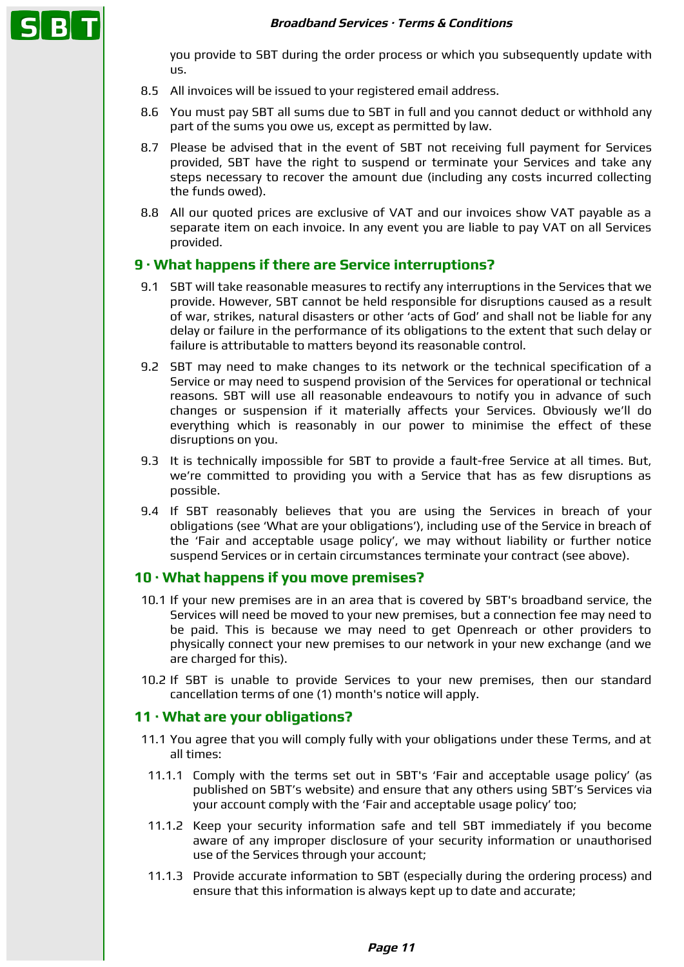you provide to SBT during the order process or which you subsequently update with us.

- 8.5 All invoices will be issued to your registered email address.
- 8.6 You must pay SBT all sums due to SBT in full and you cannot deduct or withhold any part of the sums you owe us, except as permitted by law.
- 8.7 Please be advised that in the event of SBT not receiving full payment for Services provided, SBT have the right to suspend or terminate your Services and take any steps necessary to recover the amount due (including any costs incurred collecting the funds owed).
- 8.8 All our quoted prices are exclusive of VAT and our invoices show VAT payable as a separate item on each invoice. In any event you are liable to pay VAT on all Services provided.

### **9 · What happens if there are Service interruptions?**

- 9.1 SBT will take reasonable measures to rectify any interruptions in the Services that we provide. However, SBT cannot be held responsible for disruptions caused as a result of war, strikes, natural disasters or other 'acts of God' and shall not be liable for any delay or failure in the performance of its obligations to the extent that such delay or failure is attributable to matters beyond its reasonable control.
- 9.2 SBT may need to make changes to its network or the technical specification of a Service or may need to suspend provision of the Services for operational or technical reasons. SBT will use all reasonable endeavours to notify you in advance of such changes or suspension if it materially affects your Services. Obviously we'll do everything which is reasonably in our power to minimise the effect of these disruptions on you.
- 9.3 It is technically impossible for SBT to provide a fault-free Service at all times. But, we're committed to providing you with a Service that has as few disruptions as possible.
- 9.4 If SBT reasonably believes that you are using the Services in breach of your obligations (see 'What are your obligations'), including use of the Service in breach of the 'Fair and acceptable usage policy', we may without liability or further notice suspend Services or in certain circumstances terminate your contract (see above).

## **10 · What happens if you move premises?**

- 10.1 If your new premises are in an area that is covered by SBT's broadband service, the Services will need be moved to your new premises, but a connection fee may need to be paid. This is because we may need to get Openreach or other providers to physically connect your new premises to our network in your new exchange (and we are charged for this).
- 10.2 If SBT is unable to provide Services to your new premises, then our standard cancellation terms of one (1) month's notice will apply.

#### **11 · What are your obligations?**

- 11.1 You agree that you will comply fully with your obligations under these Terms, and at all times:
- 11.1.1 Comply with the terms set out in SBT's 'Fair and acceptable usage policy' (as published on SBT's website) and ensure that any others using SBT's Services via your account comply with the 'Fair and acceptable usage policy' too;
- 11.1.2 Keep your security information safe and tell SBT immediately if you become aware of any improper disclosure of your security information or unauthorised use of the Services through your account;
- 11.1.3 Provide accurate information to SBT (especially during the ordering process) and ensure that this information is always kept up to date and accurate;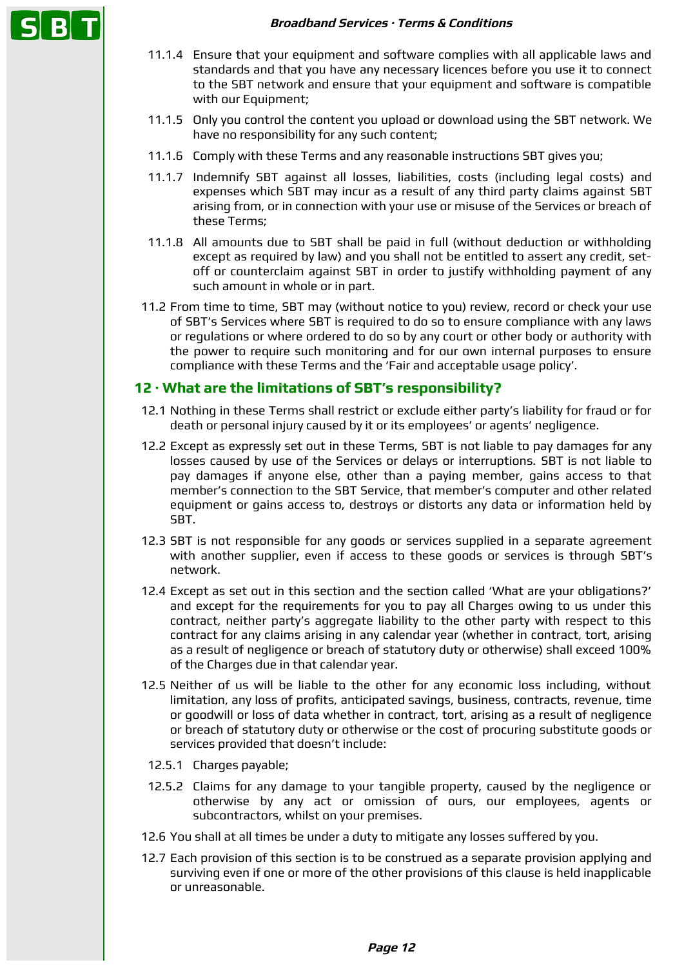- 11.1.4 Ensure that your equipment and software complies with all applicable laws and standards and that you have any necessary licences before you use it to connect to the SBT network and ensure that your equipment and software is compatible with our Equipment;
- 11.1.5 Only you control the content you upload or download using the SBT network. We have no responsibility for any such content;
- 11.1.6 Comply with these Terms and any reasonable instructions SBT gives you;
- 11.1.7 Indemnify SBT against all losses, liabilities, costs (including legal costs) and expenses which SBT may incur as a result of any third party claims against SBT arising from, or in connection with your use or misuse of the Services or breach of these Terms;
- 11.1.8 All amounts due to SBT shall be paid in full (without deduction or withholding except as required by law) and you shall not be entitled to assert any credit, setoff or counterclaim against SBT in order to justify withholding payment of any such amount in whole or in part.
- 11.2 From time to time, SBT may (without notice to you) review, record or check your use of SBT's Services where SBT is required to do so to ensure compliance with any laws or regulations or where ordered to do so by any court or other body or authority with the power to require such monitoring and for our own internal purposes to ensure compliance with these Terms and the 'Fair and acceptable usage policy'.

### **12 · What are the limitations of SBT's responsibility?**

- 12.1 Nothing in these Terms shall restrict or exclude either party's liability for fraud or for death or personal injury caused by it or its employees' or agents' negligence.
- 12.2 Except as expressly set out in these Terms, SBT is not liable to pay damages for any losses caused by use of the Services or delays or interruptions. SBT is not liable to pay damages if anyone else, other than a paying member, gains access to that member's connection to the SBT Service, that member's computer and other related equipment or gains access to, destroys or distorts any data or information held by SBT.
- 12.3 SBT is not responsible for any goods or services supplied in a separate agreement with another supplier, even if access to these goods or services is through SBT's network.
- 12.4 Except as set out in this section and the section called 'What are your obligations?' and except for the requirements for you to pay all Charges owing to us under this contract, neither party's aggregate liability to the other party with respect to this contract for any claims arising in any calendar year (whether in contract, tort, arising as a result of negligence or breach of statutory duty or otherwise) shall exceed 100% of the Charges due in that calendar year.
- 12.5 Neither of us will be liable to the other for any economic loss including, without limitation, any loss of profits, anticipated savings, business, contracts, revenue, time or goodwill or loss of data whether in contract, tort, arising as a result of negligence or breach of statutory duty or otherwise or the cost of procuring substitute goods or services provided that doesn't include:
	- 12.5.1 Charges payable;
	- 12.5.2 Claims for any damage to your tangible property, caused by the negligence or otherwise by any act or omission of ours, our employees, agents or subcontractors, whilst on your premises.
- 12.6 You shall at all times be under a duty to mitigate any losses suffered by you.
- 12.7 Each provision of this section is to be construed as a separate provision applying and surviving even if one or more of the other provisions of this clause is held inapplicable or unreasonable.